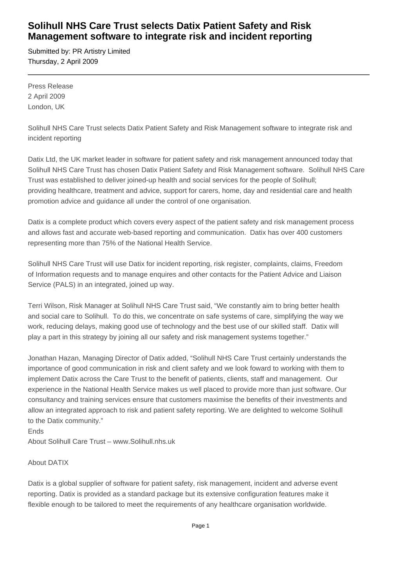## **Solihull NHS Care Trust selects Datix Patient Safety and Risk Management software to integrate risk and incident reporting**

Submitted by: PR Artistry Limited Thursday, 2 April 2009

Press Release 2 April 2009 London, UK

Solihull NHS Care Trust selects Datix Patient Safety and Risk Management software to integrate risk and incident reporting

Datix Ltd, the UK market leader in software for patient safety and risk management announced today that Solihull NHS Care Trust has chosen Datix Patient Safety and Risk Management software. Solihull NHS Care Trust was established to deliver joined-up health and social services for the people of Solihull; providing healthcare, treatment and advice, support for carers, home, day and residential care and health promotion advice and guidance all under the control of one organisation.

Datix is a complete product which covers every aspect of the patient safety and risk management process and allows fast and accurate web-based reporting and communication. Datix has over 400 customers representing more than 75% of the National Health Service.

Solihull NHS Care Trust will use Datix for incident reporting, risk register, complaints, claims, Freedom of Information requests and to manage enquires and other contacts for the Patient Advice and Liaison Service (PALS) in an integrated, joined up way.

Terri Wilson, Risk Manager at Solihull NHS Care Trust said, "We constantly aim to bring better health and social care to Solihull. To do this, we concentrate on safe systems of care, simplifying the way we work, reducing delays, making good use of technology and the best use of our skilled staff. Datix will play a part in this strategy by joining all our safety and risk management systems together."

Jonathan Hazan, Managing Director of Datix added, "Solihull NHS Care Trust certainly understands the importance of good communication in risk and client safety and we look foward to working with them to implement Datix across the Care Trust to the benefit of patients, clients, staff and management. Our experience in the National Health Service makes us well placed to provide more than just software. Our consultancy and training services ensure that customers maximise the benefits of their investments and allow an integrated approach to risk and patient safety reporting. We are delighted to welcome Solihull to the Datix community."

Ends About Solihull Care Trust – www.Solihull.nhs.uk

## About DATIX

Datix is a global supplier of software for patient safety, risk management, incident and adverse event reporting. Datix is provided as a standard package but its extensive configuration features make it flexible enough to be tailored to meet the requirements of any healthcare organisation worldwide.